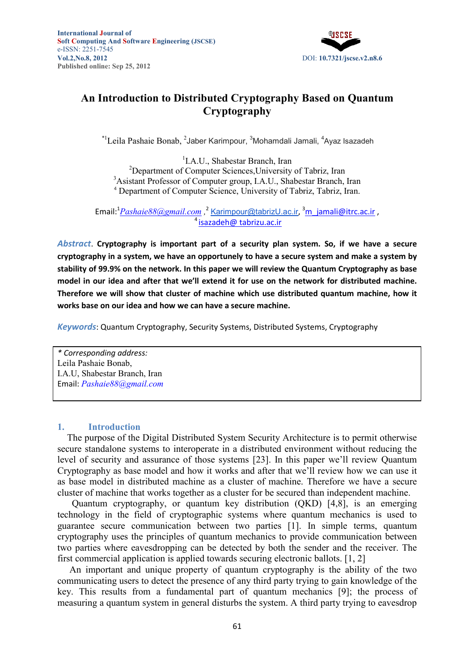

# **An Introduction to Distributed Cryptography Based on Quantum Cryptography**

\*<sup>1</sup>Leila Pashaie Bonab, <sup>2</sup>Jaber Karimpour, <sup>3</sup>Mohamdali Jamali, <sup>4</sup>Ayaz Isazadeh

1 I.A.U., Shabestar Branch, Iran <sup>2</sup>Department of Computer Sciences, University of Tabriz, Iran <sup>3</sup> Asistant Professor of Computer group, I.A.U., Shabestar Branch, Iran <sup>4</sup> Department of Computer Science, University of Tabriz, Tabriz, Iran.

, Email:<sup>1</sup><u>Pashaie88@gmail.com</u> ,<sup>2</sup> <u>Karimpour@tabrizU.ac.ir</u> ,<sup>3</sup>m\_jamali@itrc.ac.ir <sup>4</sup> isazadeh@ tabrizu.ac.ir

*Abstract*. **Cryptography is important part of a security plan system. So, if we have a secure cryptography in a system, we have an opportunely to have a secure system and make a system by stability of 99.9% on the network. In this paper we will review the Quantum Cryptography as base model in our idea and after that we'll extend it for use on the network for distributed machine. Therefore we will show that cluster of machine which use distributed quantum machine, how it works base on our idea and how we can have a secure machine.** 

*Keywords*: Quantum Cryptography, Security Systems, Distributed Systems, Cryptography

*\* Corresponding address:*  Leila Pashaie Bonab, I.A.U, Shabestar Branch, Iran Email: *Pashaie88@gmail.com*

### **1. Introduction**

The purpose of the Digital Distributed System Security Architecture is to permit otherwise secure standalone systems to interoperate in a distributed environment without reducing the level of security and assurance of those systems [23]. In this paper we'll review Quantum Cryptography as base model and how it works and after that we'll review how we can use it as base model in distributed machine as a cluster of machine. Therefore we have a secure cluster of machine that works together as a cluster for be secured than independent machine.

Quantum cryptography, or quantum key distribution (QKD) [4,8], is an emerging technology in the field of cryptographic systems where quantum mechanics is used to guarantee secure communication between two parties [1]. In simple terms, quantum cryptography uses the principles of quantum mechanics to provide communication between two parties where eavesdropping can be detected by both the sender and the receiver. The first commercial application is applied towards securing electronic ballots. [1, 2]

 An important and unique property of quantum cryptography is the ability of the two communicating users to detect the presence of any third party trying to gain knowledge of the key. This results from a fundamental part of quantum mechanics [9]; the process of measuring a quantum system in general disturbs the system. A third party trying to eavesdrop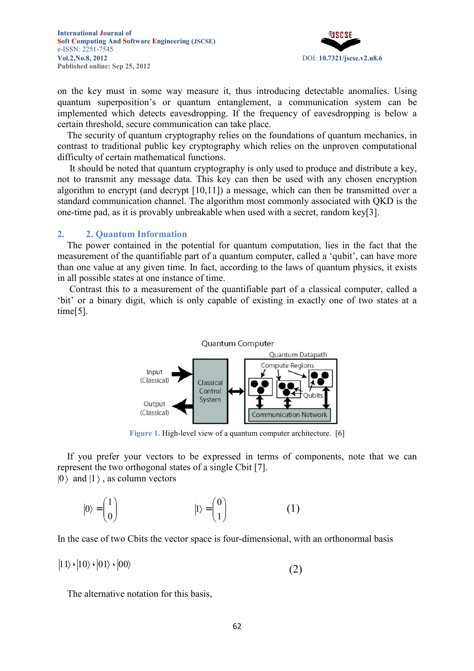

on the key must in some way measure it, thus introducing detectable anomalies. Using quantum superposition's or quantum entanglement, a communication system can be implemented which detects eavesdropping. If the frequency of eavesdropping is below a certain threshold, secure communication can take place.

The security of quantum cryptography relies on the foundations of quantum mechanics, in contrast to traditional public key cryptography which relies on the unproven computational difficulty of certain mathematical functions.

 It should be noted that quantum cryptography is only used to produce and distribute a key, not to transmit any message data. This key can then be used with any chosen encryption algorithm to encrypt (and decrypt [10,11]) a message, which can then be transmitted over a standard communication channel. The algorithm most commonly associated with QKD is the one-time pad, as it is provably unbreakable when used with a secret, random key[3].

#### **2. 2. Quantum Information**

The power contained in the potential for quantum computation, lies in the fact that the measurement of the quantifiable part of a quantum computer, called a 'qubit', can have more than one value at any given time. In fact, according to the laws of quantum physics, it exists in all possible states at one instance of time.

 Contrast this to a measurement of the quantifiable part of a classical computer, called a 'bit' or a binary digit, which is only capable of existing in exactly one of two states at a time[5].



**Figure 1.** High-level view of a quantum computer architecture. [6]

If you prefer your vectors to be expressed in terms of components, note that we can represent the two orthogonal states of a single Cbit [7].  $|0\rangle$  and  $|1\rangle$ , as column vectors

$$
|0\rangle = \begin{pmatrix} 1 \\ 0 \end{pmatrix} \qquad |1\rangle = \begin{pmatrix} 0 \\ 1 \end{pmatrix} \qquad (1)
$$

In the case of two Cbits the vector space is four-dimensional, with an orthonormal basis

 $|11\rangle \cdot |10\rangle \cdot |01\rangle \cdot |00\rangle$  (2)

The alternative notation for this basis,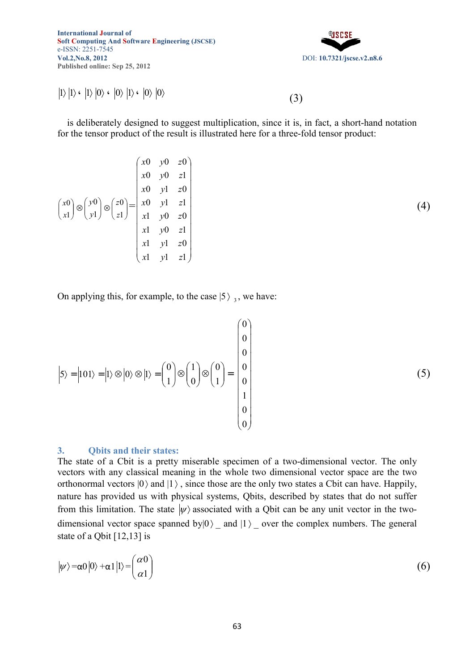®।ऽ£ऽ DOI: **10.7321/jscse.v2.n8.6**

(4)

$$
|1\rangle |1\rangle \cdot |1\rangle |0\rangle \cdot |0\rangle |1\rangle \cdot |0\rangle |0\rangle
$$
 (3)

is deliberately designed to suggest multiplication, since it is, in fact, a short-hand notation for the tensor product of the result is illustrated here for a three-fold tensor product:

$$
\begin{pmatrix} x0 & y0 & z0 \\ x0 & y0 & z1 \\ x1 & z0 \\ x1 & z1 \end{pmatrix} \otimes \begin{pmatrix} y0 \\ y1 \end{pmatrix} \otimes \begin{pmatrix} z0 \\ z1 \end{pmatrix} = \begin{pmatrix} x0 & y0 & z0 \\ x0 & y1 & z1 \\ x1 & y0 & z0 \\ x1 & y0 & z1 \\ x1 & y1 & z0 \\ x1 & y1 & z1 \end{pmatrix}
$$

On applying this, for example, to the case  $|5 \rangle$  <sub>3</sub>, we have:

$$
\left|5\right\rangle = \left|101\right\rangle = \left|1\right\rangle \otimes \left|0\right\rangle \otimes \left|1\right\rangle = \begin{pmatrix} 0 \\ 0 \\ 1 \\ 0 \end{pmatrix} \otimes \begin{pmatrix} 1 \\ 0 \\ 1 \\ 0 \\ 0 \end{pmatrix} = \begin{pmatrix} 0 \\ 0 \\ 0 \\ 1 \\ 0 \\ 0 \\ 0 \end{pmatrix}
$$
 (5)

### **3. Qbits and their states:**

The state of a Cbit is a pretty miserable specimen of a two-dimensional vector. The only vectors with any classical meaning in the whole two dimensional vector space are the two orthonormal vectors  $|0\rangle$  and  $|1\rangle$ , since those are the only two states a Cbit can have. Happily, nature has provided us with physical systems, Qbits, described by states that do not suffer from this limitation. The state  $|\psi\rangle$  associated with a Qbit can be any unit vector in the twodimensional vector space spanned by $|0\rangle$  and  $|1\rangle$  over the complex numbers. The general state of a Qbit [12,13] is

$$
|\psi\rangle = \alpha 0|0\rangle + \alpha 1|1\rangle = \begin{pmatrix} \alpha 0 \\ \alpha 1 \end{pmatrix} \tag{6}
$$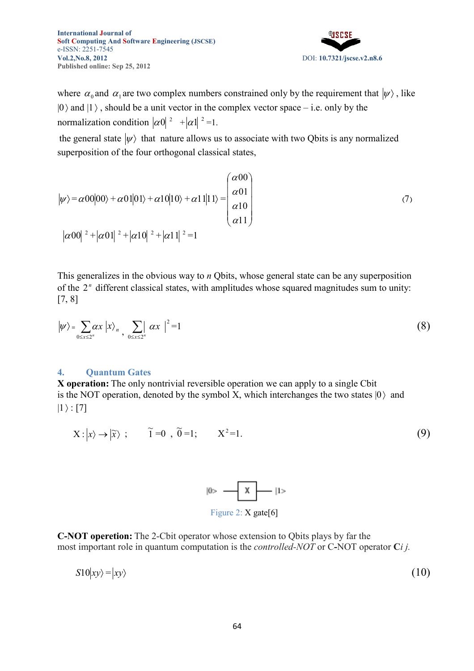DOI: **10.7321/jscse.v2.n8.6**

where  $\alpha_0$  and  $\alpha_1$  are two complex numbers constrained only by the requirement that  $|\psi\rangle$ , like  $|0\rangle$  and  $|1\rangle$ , should be a unit vector in the complex vector space – i.e. only by the normalization condition  $|\alpha 0|^2$  +  $|\alpha 1|^2$  =1.

the general state  $|\psi\rangle$  that nature allows us to associate with two Qbits is any normalized superposition of the four orthogonal classical states,

$$
|\psi\rangle = \alpha 00|00\rangle + \alpha 01|01\rangle + \alpha 10|10\rangle + \alpha 11|11\rangle = \begin{pmatrix} \alpha 00 \\ \alpha 01 \\ \alpha 10 \\ \alpha 11 \end{pmatrix}
$$
  

$$
|\alpha 00|^2 + |\alpha 01|^2 + |\alpha 10|^2 + |\alpha 11|^2 = 1
$$
 (7)

This generalizes in the obvious way to *n* Qbits, whose general state can be any superposition of the  $2<sup>n</sup>$  different classical states, with amplitudes whose squared magnitudes sum to unity: [7, 8]

$$
|\psi\rangle = \sum_{0 \le x \le 2^n} \alpha x |x\rangle_n \sum_{0 \le x \le 2^n} |\alpha x|^2 = 1
$$
 (8)

#### **4. Quantum Gates**

**X operation:** The only nontrivial reversible operation we can apply to a single Cbit is the NOT operation, denoted by the symbol X, which interchanges the two states  $|0\rangle$  and  $|1 \rangle : [7]$ 

$$
X: |x\rangle \to |\widetilde{x}\rangle ; \qquad \widetilde{1} = 0 , \widetilde{0} = 1; \qquad X^2 = 1.
$$
 (9)



**C-OT operetion:** The 2-Cbit operator whose extension to Qbits plays by far the most important role in quantum computation is the *controlled-NOT* or C-NOT operator C*i j*.

$$
S10|xy\rangle = |xy\rangle \tag{10}
$$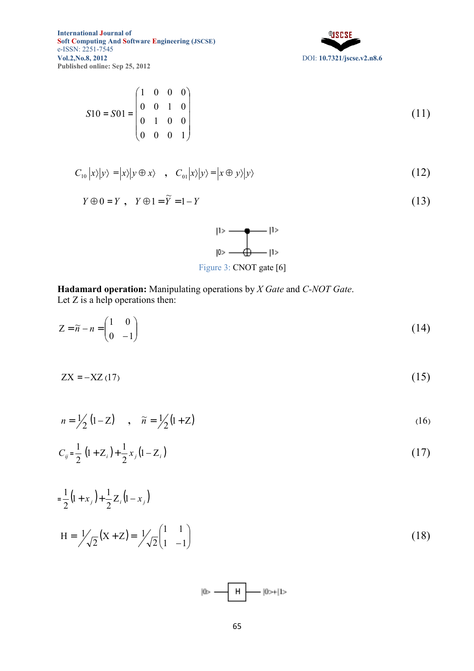

$$
S10 = S01 = \begin{pmatrix} 1 & 0 & 0 & 0 \\ 0 & 0 & 1 & 0 \\ 0 & 1 & 0 & 0 \\ 0 & 0 & 0 & 1 \end{pmatrix}
$$
(11)

$$
C_{10}|x\rangle|y\rangle = |x\rangle|y \oplus x\rangle \quad , \quad C_{01}|x\rangle|y\rangle = |x \oplus y\rangle|y\rangle \tag{12}
$$

$$
Y \oplus 0 = Y, \quad Y \oplus 1 = \widetilde{Y} = 1 - Y \tag{13}
$$

| 11>                     |
|-------------------------|
| -11>                    |
| Figure 3: CNOT gate [6] |

**Hadamard operation:** Manipulating operations by *X Gate* and *C-OT Gate*. Let  $Z$  is a help operations then:

$$
Z = \widetilde{n} - n = \begin{pmatrix} 1 & 0 \\ 0 & -1 \end{pmatrix}
$$
 (14)

$$
ZX = -XZ(17) \tag{15}
$$

$$
n = \frac{1}{2} \left( 1 - Z \right) \quad , \quad \widetilde{n} = \frac{1}{2} \left( 1 + Z \right) \tag{16}
$$

$$
C_{ij} = \frac{1}{2} \left( 1 + Z_i \right) + \frac{1}{2} x_j \left( 1 - Z_i \right) \tag{17}
$$

$$
= \frac{1}{2} (1 + x_j) + \frac{1}{2} Z_i (1 - x_j)
$$
  
\n
$$
H = \frac{1}{\sqrt{2}} (X + Z) = \frac{1}{\sqrt{2}} \begin{pmatrix} 1 & 1 \\ 1 & -1 \end{pmatrix}
$$
\n(18)

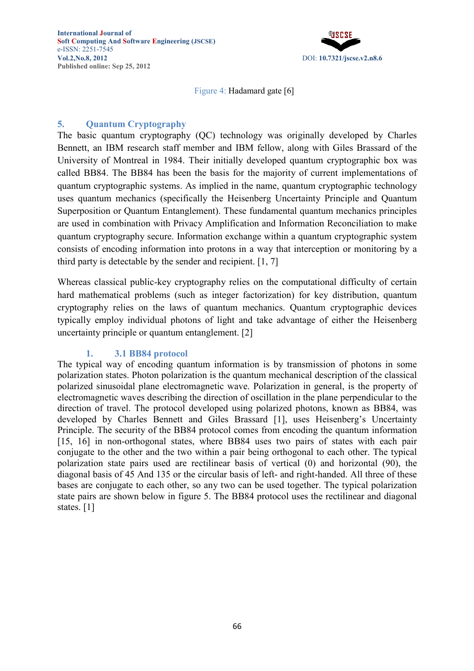

Figure 4: Hadamard gate [6]

# **5. Quantum Cryptography**

The basic quantum cryptography (QC) technology was originally developed by Charles Bennett, an IBM research staff member and IBM fellow, along with Giles Brassard of the University of Montreal in 1984. Their initially developed quantum cryptographic box was called BB84. The BB84 has been the basis for the majority of current implementations of quantum cryptographic systems. As implied in the name, quantum cryptographic technology uses quantum mechanics (specifically the Heisenberg Uncertainty Principle and Quantum Superposition or Quantum Entanglement). These fundamental quantum mechanics principles are used in combination with Privacy Amplification and Information Reconciliation to make quantum cryptography secure. Information exchange within a quantum cryptographic system consists of encoding information into protons in a way that interception or monitoring by a third party is detectable by the sender and recipient. [1, 7]

Whereas classical public-key cryptography relies on the computational difficulty of certain hard mathematical problems (such as integer factorization) for key distribution, quantum cryptography relies on the laws of quantum mechanics. Quantum cryptographic devices typically employ individual photons of light and take advantage of either the Heisenberg uncertainty principle or quantum entanglement. [2]

### **1. 3.1 BB84 protocol**

The typical way of encoding quantum information is by transmission of photons in some polarization states. Photon polarization is the quantum mechanical description of the classical polarized sinusoidal plane electromagnetic wave. Polarization in general, is the property of electromagnetic waves describing the direction of oscillation in the plane perpendicular to the direction of travel. The protocol developed using polarized photons, known as BB84, was developed by Charles Bennett and Giles Brassard [1], uses Heisenberg's Uncertainty Principle. The security of the BB84 protocol comes from encoding the quantum information [15, 16] in non-orthogonal states, where BB84 uses two pairs of states with each pair conjugate to the other and the two within a pair being orthogonal to each other. The typical polarization state pairs used are rectilinear basis of vertical (0) and horizontal (90), the diagonal basis of 45 And 135 or the circular basis of left- and right-handed. All three of these bases are conjugate to each other, so any two can be used together. The typical polarization state pairs are shown below in figure 5. The BB84 protocol uses the rectilinear and diagonal states. [1]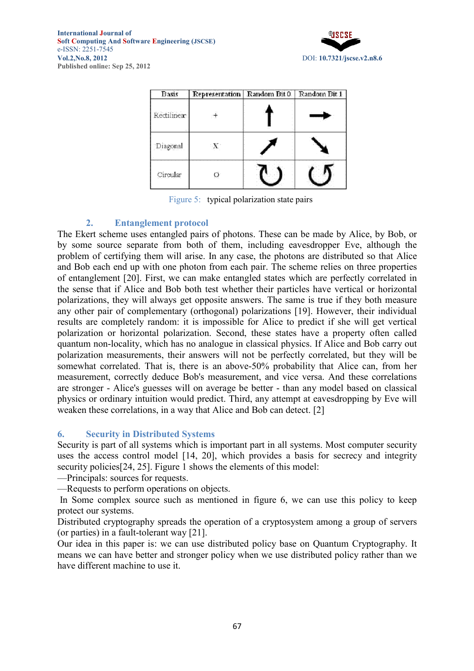

| <b>Basis</b> | Representation Random Bit 0 | Random Bit 1 |
|--------------|-----------------------------|--------------|
| Rectilinear  |                             |              |
| Diagonal     | ∹X.                         |              |
| Circular     |                             |              |

Figure 5: typical polarization state pairs

## **2. Entanglement protocol**

The Ekert scheme uses entangled pairs of photons. These can be made by Alice, by Bob, or by some source separate from both of them, including eavesdropper Eve, although the problem of certifying them will arise. In any case, the photons are distributed so that Alice and Bob each end up with one photon from each pair. The scheme relies on three properties of entanglement [20]. First, we can make entangled states which are perfectly correlated in the sense that if Alice and Bob both test whether their particles have vertical or horizontal polarizations, they will always get opposite answers. The same is true if they both measure any other pair of complementary (orthogonal) polarizations [19]. However, their individual results are completely random: it is impossible for Alice to predict if she will get vertical polarization or horizontal polarization. Second, these states have a property often called quantum non-locality, which has no analogue in classical physics. If Alice and Bob carry out polarization measurements, their answers will not be perfectly correlated, but they will be somewhat correlated. That is, there is an above-50% probability that Alice can, from her measurement, correctly deduce Bob's measurement, and vice versa. And these correlations are stronger - Alice's guesses will on average be better - than any model based on classical physics or ordinary intuition would predict. Third, any attempt at eavesdropping by Eve will weaken these correlations, in a way that Alice and Bob can detect. [2]

### **6. Security in Distributed Systems**

Security is part of all systems which is important part in all systems. Most computer security uses the access control model [14, 20], which provides a basis for secrecy and integrity security policies<sup>[24, 25]</sup>. Figure 1 shows the elements of this model:

—Principals: sources for requests.

—Requests to perform operations on objects.

 In Some complex source such as mentioned in figure 6, we can use this policy to keep protect our systems.

Distributed cryptography spreads the operation of a cryptosystem among a group of servers (or parties) in a fault-tolerant way [21].

Our idea in this paper is: we can use distributed policy base on Quantum Cryptography. It means we can have better and stronger policy when we use distributed policy rather than we have different machine to use it.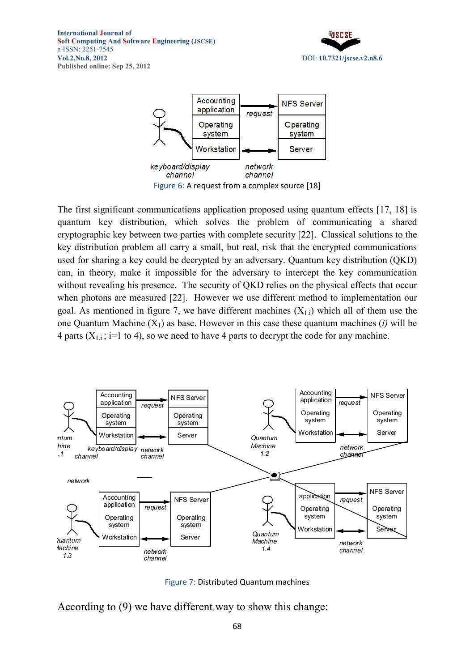



Figure 6: A request from a complex source [18]

The first significant communications application proposed using quantum effects [17, 18] is quantum key distribution, which solves the problem of communicating a shared cryptographic key between two parties with complete security [22]. Classical solutions to the key distribution problem all carry a small, but real, risk that the encrypted communications used for sharing a key could be decrypted by an adversary. Quantum key distribution (QKD) can, in theory, make it impossible for the adversary to intercept the key communication without revealing his presence. The security of QKD relies on the physical effects that occur when photons are measured [22]. However we use different method to implementation our goal. As mentioned in figure 7, we have different machines  $(X_{1,i})$  which all of them use the one Quantum Machine  $(X_1)$  as base. However in this case these quantum machines *(i)* will be 4 parts  $(X_{1,i}; i=1 \text{ to } 4)$ , so we need to have 4 parts to decrypt the code for any machine.



Figure 7: Distributed Quantum machines

According to (9) we have different way to show this change: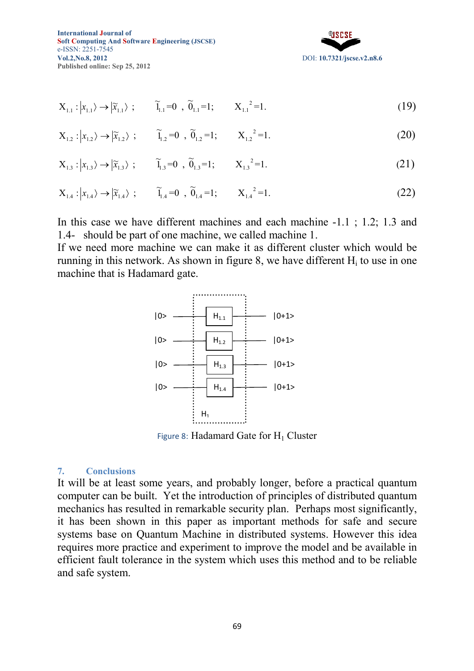

$$
X_{1,1}: |x_{1,1}\rangle \to |\widetilde{x}_{1,1}\rangle ; \qquad \widetilde{1}_{1,1} = 0 , \ \widetilde{0}_{1,1} = 1 ; \qquad X_{1,1}^2 = 1.
$$
 (19)

$$
X_{1,2}: |x_{1,2}\rangle \to |\widetilde{x}_{1,2}\rangle ; \qquad \widetilde{1}_{1,2} = 0 \quad , \ \widetilde{0}_{1,2} = 1; \qquad X_{1,2}^2 = 1. \tag{20}
$$

$$
X_{1,3}: |x_{1,3}\rangle \to |\widetilde{x}_{1,3}\rangle ; \qquad \widetilde{1}_{1,3} = 0 , \widetilde{0}_{1,3} = 1 ; \qquad X_{1,3}^2 = 1.
$$
 (21)

$$
X_{1.4}: |x_{1.4}\rangle \to |\widetilde{x}_{1.4}\rangle ; \qquad \widetilde{1}_{1.4} = 0 , \ \widetilde{0}_{1.4} = 1 ; \qquad X_{1.4}^2 = 1.
$$
 (22)

In this case we have different machines and each machine -1.1 ; 1.2; 1.3 and 1.4- should be part of one machine, we called machine 1.

If we need more machine we can make it as different cluster which would be running in this network. As shown in figure 8, we have different  $H_i$  to use in one machine that is Hadamard gate.



Figure 8: Hadamard Gate for  $H_1$  Cluster

#### **7. Conclusions**

It will be at least some years, and probably longer, before a practical quantum computer can be built. Yet the introduction of principles of distributed quantum mechanics has resulted in remarkable security plan. Perhaps most significantly, it has been shown in this paper as important methods for safe and secure systems base on Quantum Machine in distributed systems. However this idea requires more practice and experiment to improve the model and be available in efficient fault tolerance in the system which uses this method and to be reliable and safe system.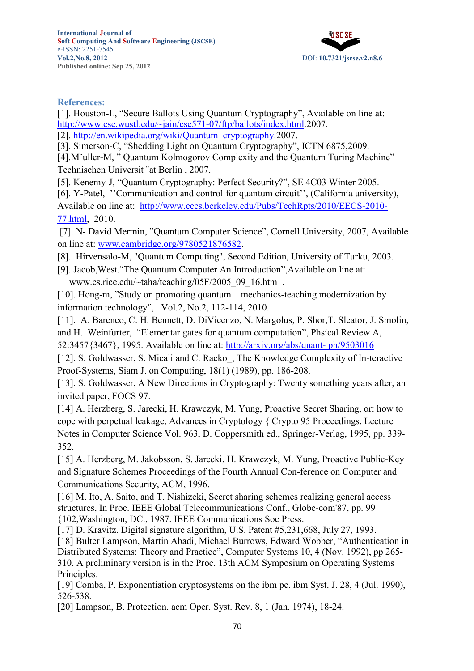

### **References:**

[1]. Houston-L, "Secure Ballots Using Quantum Cryptography", Available on line at: http://www.cse.wustl.edu/~jain/cse571-07/ftp/ballots/index.html.2007. [2]. http://en.wikipedia.org/wiki/Quantum\_cryptography.2007.

[3]. Simerson-C, "Shedding Light on Quantum Cryptography", ICTN 6875,2009.

[4]. M"uller-M, " Quantum Kolmogorov Complexity and the Quantum Turing Machine" Technischen Universit ¨at Berlin , 2007.

[5]. Kenemy-J, "Quantum Cryptography: Perfect Security?", SE 4C03 Winter 2005.

[6]. Y-Patel, "Communication and control for quantum circuit", (California university), Available on line at: http://www.eecs.berkeley.edu/Pubs/TechRpts/2010/EECS-2010- 77.html, 2010.

[7]. N- David Mermin, "Quantum Computer Science", Cornell University, 2007, Available on line at: www.cambridge.org/9780521876582.

- [8]. Hirvensalo-M, "Quantum Computing", Second Edition, University of Turku, 2003.
- [9]. Jacob,West."The Quantum Computer An Introduction",Available on line at: www.cs.rice.edu/~taha/teaching/05F/2005\_09\_16.htm .

[10]. Hong-m, "Study on promoting quantum mechanics-teaching modernization by information technology", Vol.2, No.2, 112-114, 2010.

[11]. A. Barenco, C. H. Bennett, D. DiVicenzo, N. Margolus, P. Shor,T. Sleator, J. Smolin,

and H. Weinfurter, "Elementar gates for quantum computation", Phsical Review A,

52:3457{3467}, 1995. Available on line at: http://arxiv.org/abs/quant- ph/9503016

[12]. S. Goldwasser, S. Micali and C. Racko, The Knowledge Complexity of In-teractive Proof-Systems, Siam J. on Computing, 18(1) (1989), pp. 186-208.

[13]. S. Goldwasser, A New Directions in Cryptography: Twenty something years after, an invited paper, FOCS 97.

[14] A. Herzberg, S. Jarecki, H. Krawczyk, M. Yung, Proactive Secret Sharing, or: how to cope with perpetual leakage, Advances in Cryptology { Crypto 95 Proceedings, Lecture Notes in Computer Science Vol. 963, D. Coppersmith ed., Springer-Verlag, 1995, pp. 339- 352.

[15] A. Herzberg, M. Jakobsson, S. Jarecki, H. Krawczyk, M. Yung, Proactive Public-Key and Signature Schemes Proceedings of the Fourth Annual Con-ference on Computer and Communications Security, ACM, 1996.

[16] M. Ito, A. Saito, and T. Nishizeki, Secret sharing schemes realizing general access structures, In Proc. IEEE Global Telecommunications Conf., Globe-com'87, pp. 99 {102,Washington, DC., 1987. IEEE Communications Soc Press.

[17] D. Kravitz. Digital signature algorithm, U.S. Patent #5,231,668, July 27, 1993.

[18] Bulter Lampson, Martin Abadi, Michael Burrows, Edward Wobber, "Authentication in Distributed Systems: Theory and Practice", Computer Systems 10, 4 (Nov. 1992), pp 265- 310. A preliminary version is in the Proc. 13th ACM Symposium on Operating Systems Principles.

[19] Comba, P. Exponentiation cryptosystems on the ibm pc. ibm Syst. J. 28, 4 (Jul. 1990), 526-538.

[20] Lampson, B. Protection. acm Oper. Syst. Rev. 8, 1 (Jan. 1974), 18-24.